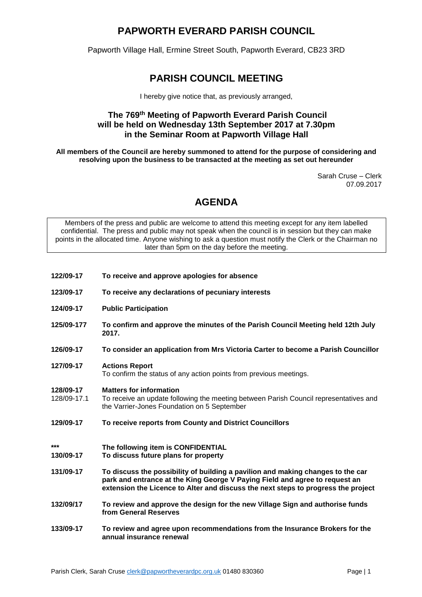# **PAPWORTH EVERARD PARISH COUNCIL**

Papworth Village Hall, Ermine Street South, Papworth Everard, CB23 3RD

# **PARISH COUNCIL MEETING**

I hereby give notice that, as previously arranged,

### **The 769 th Meeting of Papworth Everard Parish Council will be held on Wednesday 13th September 2017 at 7.30pm in the Seminar Room at Papworth Village Hall**

**All members of the Council are hereby summoned to attend for the purpose of considering and resolving upon the business to be transacted at the meeting as set out hereunder**

> Sarah Cruse – Clerk 07.09.2017

# **AGENDA**

Members of the press and public are welcome to attend this meeting except for any item labelled confidential. The press and public may not speak when the council is in session but they can make points in the allocated time. Anyone wishing to ask a question must notify the Clerk or the Chairman no later than 5pm on the day before the meeting.

- **122/09-17 To receive and approve apologies for absence**
- **123/09-17 To receive any declarations of pecuniary interests**
- **124/09-17 Public Participation**
- **125/09-177 To confirm and approve the minutes of the Parish Council Meeting held 12th July 2017.**
- **126/09-17 To consider an application from Mrs Victoria Carter to become a Parish Councillor**

## **127/09-17 Actions Report**

To confirm the status of any action points from previous meetings.

#### **128/09-17 Matters for information**

- 128/09-17.1 To receive an update following the meeting between Parish Council representatives and the Varrier-Jones Foundation on 5 September
- **129/09-17 To receive reports from County and District Councillors**
- **\*\*\* The following item is CONFIDENTIAL**
	- **130/09-17 To discuss future plans for property**
- **131/09-17 To discuss the possibility of building a pavilion and making changes to the car park and entrance at the King George V Paying Field and agree to request an extension the Licence to Alter and discuss the next steps to progress the project**
- **132/09/17 To review and approve the design for the new Village Sign and authorise funds from General Reserves**
- **133/09-17 To review and agree upon recommendations from the Insurance Brokers for the annual insurance renewal**